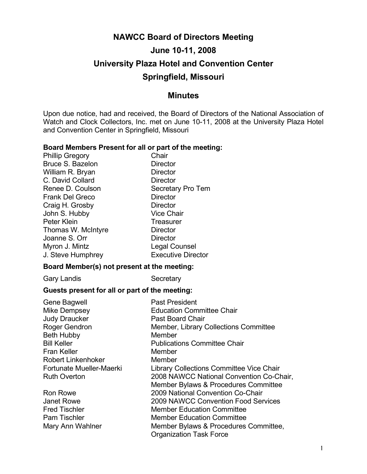# **NAWCC Board of Directors Meeting June 10-11, 2008 University Plaza Hotel and Convention Center Springfield, Missouri**

# **Minutes**

Upon due notice, had and received, the Board of Directors of the National Association of Watch and Clock Collectors, Inc. met on June 10-11, 2008 at the University Plaza Hotel and Convention Center in Springfield, Missouri

#### **Board Members Present for all or part of the meeting:**

Phillip Gregory Chair Bruce S. Bazelon Director William R. Bryan Director C. David Collard **Director** Renee D. Coulson Secretary Pro Tem Frank Del Greco Director Craig H. Grosby Director John S. Hubby Vice Chair Peter Klein **Treasurer** Thomas W. McIntyre **Director** Joanne S. Orr Director Myron J. Mintz **Legal Counsel** J. Steve Humphrey Executive Director

#### **Board Member(s) not present at the meeting:**

Gary Landis Secretary

### **Guests present for all or part of the meeting:**

| <b>Gene Bagwell</b>       | <b>Past President</b>                    |
|---------------------------|------------------------------------------|
| Mike Dempsey              | <b>Education Committee Chair</b>         |
| <b>Judy Draucker</b>      | <b>Past Board Chair</b>                  |
| <b>Roger Gendron</b>      | Member, Library Collections Committee    |
| <b>Beth Hubby</b>         | Member                                   |
| <b>Bill Keller</b>        | <b>Publications Committee Chair</b>      |
| <b>Fran Keller</b>        | Member                                   |
| <b>Robert Linkenhoker</b> | Member                                   |
| Fortunate Mueller-Maerki  | Library Collections Committee Vice Chair |
| <b>Ruth Overton</b>       | 2008 NAWCC National Convention Co-Chair, |
|                           | Member Bylaws & Procedures Committee     |
| <b>Ron Rowe</b>           | 2009 National Convention Co-Chair        |
| Janet Rowe                | 2009 NAWCC Convention Food Services      |
| <b>Fred Tischler</b>      | <b>Member Education Committee</b>        |
| <b>Pam Tischler</b>       | <b>Member Education Committee</b>        |
| Mary Ann Wahlner          | Member Bylaws & Procedures Committee,    |
|                           | <b>Organization Task Force</b>           |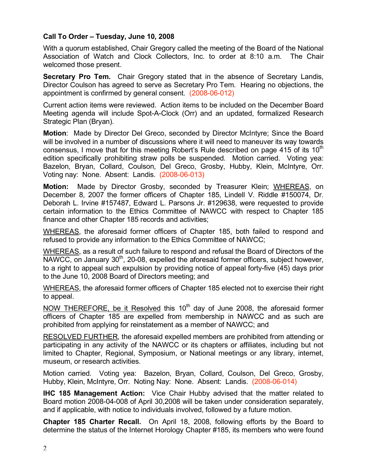# **Call To Order – Tuesday, June 10, 2008**

With a quorum established, Chair Gregory called the meeting of the Board of the National Association of Watch and Clock Collectors, Inc. to order at 8:10 a.m. The Chair welcomed those present.

**Secretary Pro Tem.** Chair Gregory stated that in the absence of Secretary Landis, Director Coulson has agreed to serve as Secretary Pro Tem. Hearing no objections, the appointment is confirmed by general consent. (2008-06-012)

Current action items were reviewed. Action items to be included on the December Board Meeting agenda will include Spot-A-Clock (Orr) and an updated, formalized Research Strategic Plan (Bryan).

**Motion**: Made by Director Del Greco, seconded by Director McIntyre; Since the Board will be involved in a number of discussions where it will need to maneuver its way towards consensus, I move that for this meeting Robert's Rule described on page 415 of its  $10<sup>th</sup>$ edition specifically prohibiting straw polls be suspended. Motion carried. Voting yea: Bazelon, Bryan, Collard, Coulson, Del Greco, Grosby, Hubby, Klein, McIntyre, Orr. Voting nay: None. Absent: Landis. (2008-06-013)

**Motion:** Made by Director Grosby, seconded by Treasurer Klein; WHEREAS, on December 8, 2007 the former officers of Chapter 185, Lindell V. Riddle #150074, Dr. Deborah L. Irvine #157487, Edward L. Parsons Jr. #129638, were requested to provide certain information to the Ethics Committee of NAWCC with respect to Chapter 185 finance and other Chapter 185 records and activities;

WHEREAS, the aforesaid former officers of Chapter 185, both failed to respond and refused to provide any information to the Ethics Committee of NAWCC;

WHEREAS, as a result of such failure to respond and refusal the Board of Directors of the  $NAWCC$ , on January  $30<sup>th</sup>$ , 20-08, expelled the aforesaid former officers, subject however, to a right to appeal such expulsion by providing notice of appeal forty-five (45) days prior to the June 10, 2008 Board of Directors meeting; and

WHEREAS, the aforesaid former officers of Chapter 185 elected not to exercise their right to appeal.

NOW THEREFORE, be it Resolved this  $10<sup>th</sup>$  day of June 2008, the aforesaid former officers of Chapter 185 are expelled from membership in NAWCC and as such are prohibited from applying for reinstatement as a member of NAWCC; and

RESOLVED FURTHER, the aforesaid expelled members are prohibited from attending or participating in any activity of the NAWCC or its chapters or affiliates, including but not limited to Chapter, Regional, Symposium, or National meetings or any library, internet, museum, or research activities.

Motion carried. Voting yea: Bazelon, Bryan, Collard, Coulson, Del Greco, Grosby, Hubby, Klein, McIntyre, Orr. Noting Nay: None. Absent: Landis. (2008-06-014)

**IHC 185 Management Action:** Vice Chair Hubby advised that the matter related to Board motion 2008-04-008 of April 30,2008 will be taken under consideration separately, and if applicable, with notice to individuals involved, followed by a future motion.

**Chapter 185 Charter Recall.** On April 18, 2008, following efforts by the Board to determine the status of the Internet Horology Chapter #185, its members who were found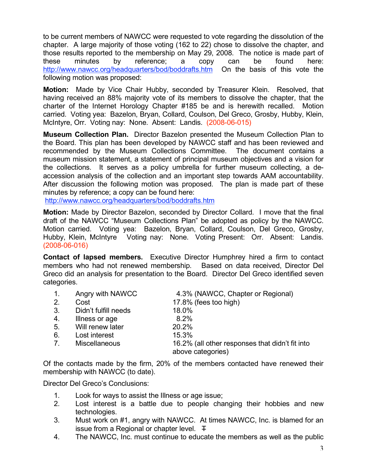to be current members of NAWCC were requested to vote regarding the dissolution of the chapter. A large majority of those voting (162 to 22) chose to dissolve the chapter, and those results reported to the membership on May 29, 2008. The notice is made part of these minutes by reference; a copy can be found here: http://www.nawcc.org/headquarters/bod/boddrafts.htm On the basis of this vote the following motion was proposed:

**Motion:** Made by Vice Chair Hubby, seconded by Treasurer Klein. Resolved, that having received an 88% majority vote of its members to dissolve the chapter, that the charter of the Internet Horology Chapter #185 be and is herewith recalled. Motion carried. Voting yea: Bazelon, Bryan, Collard, Coulson, Del Greco, Grosby, Hubby, Klein, McIntyre, Orr. Voting nay: None. Absent: Landis. (2008-06-015)

**Museum Collection Plan.** Director Bazelon presented the Museum Collection Plan to the Board. This plan has been developed by NAWCC staff and has been reviewed and recommended by the Museum Collections Committee. The document contains a museum mission statement, a statement of principal museum objectives and a vision for the collections. It serves as a policy umbrella for further museum collecting, a deaccession analysis of the collection and an important step towards AAM accountability. After discussion the following motion was proposed. The plan is made part of these minutes by reference; a copy can be found here:

http://www.nawcc.org/headquarters/bod/boddrafts.htm

**Motion:** Made by Director Bazelon, seconded by Director Collard. I move that the final draft of the NAWCC "Museum Collections Plan" be adopted as policy by the NAWCC. Motion carried. Voting yea: Bazelon, Bryan, Collard, Coulson, Del Greco, Grosby, Hubby, Klein, McIntyre Voting nay: None. Voting Present: Orr. Absent: Landis. (2008-06-016)

**Contact of lapsed members.** Executive Director Humphrey hired a firm to contact members who had not renewed membership. Based on data received, Director Del Greco did an analysis for presentation to the Board. Director Del Greco identified seven categories.

| $\mathbf{1}$ . | Angry with NAWCC     | 4.3% (NAWCC, Chapter or Regional)                                    |
|----------------|----------------------|----------------------------------------------------------------------|
| 2.             | Cost                 | 17.8% (fees too high)                                                |
| 3.             | Didn't fulfill needs | 18.0%                                                                |
| 4.             | Illness or age       | 8.2%                                                                 |
| 5.             | Will renew later     | 20.2%                                                                |
| 6.             | Lost interest        | 15.3%                                                                |
| $7_{\cdot}$    | <b>Miscellaneous</b> | 16.2% (all other responses that didn't fit into<br>above categories) |
|                |                      |                                                                      |

Of the contacts made by the firm, 20% of the members contacted have renewed their membership with NAWCC (to date).

Director Del Greco's Conclusions:

- 1. Look for ways to assist the Illness or age issue;
- 2. Lost interest is a battle due to people changing their hobbies and new technologies.
- 3. Must work on #1, angry with NAWCC. At times NAWCC, Inc. is blamed for an issue from a Regional or chapter level.  $\mp$
- 4. The NAWCC, Inc. must continue to educate the members as well as the public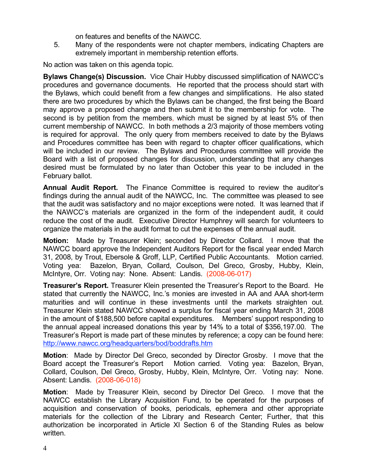on features and benefits of the NAWCC.

5. Many of the respondents were not chapter members, indicating Chapters are extremely important in membership retention efforts.

No action was taken on this agenda topic.

**Bylaws Change(s) Discussion.** Vice Chair Hubby discussed simplification of NAWCC's procedures and governance documents. He reported that the process should start with the Bylaws, which could benefit from a few changes and simplifications. He also stated there are two procedures by which the Bylaws can be changed, the first being the Board may approve a proposed change and then submit it to the membership for vote. The second is by petition from the members, which must be signed by at least 5% of then current membership of NAWCC. In both methods a 2/3 majority of those members voting is required for approval. The only query from members received to date by the Bylaws and Procedures committee has been with regard to chapter officer qualifications, which will be included in our review. The Bylaws and Procedures committee will provide the Board with a list of proposed changes for discussion, understanding that any changes desired must be formulated by no later than October this year to be included in the February ballot.

**Annual Audit Report.** The Finance Committee is required to review the auditor's findings during the annual audit of the NAWCC, Inc. The committee was pleased to see that the audit was satisfactory and no major exceptions were noted. It was learned that if the NAWCC's materials are organized in the form of the independent audit, it could reduce the cost of the audit. Executive Director Humphrey will search for volunteers to organize the materials in the audit format to cut the expenses of the annual audit.

**Motion:** Made by Treasurer Klein; seconded by Director Collard. I move that the NAWCC board approve the Independent Auditors Report for the fiscal year ended March 31, 2008, by Trout, Ebersole & Groff, LLP, Certified Public Accountants. Motion carried. Voting yea: Bazelon, Bryan, Collard, Coulson, Del Greco, Grosby, Hubby, Klein, McIntyre, Orr. Voting nay: None. Absent: Landis. (2008-06-017)

**Treasurer's Report.** Treasurer Klein presented the Treasurer's Report to the Board. He stated that currently the NAWCC, Inc.'s monies are invested in AA and AAA short-term maturities and will continue in these investments until the markets straighten out. Treasurer Klein stated NAWCC showed a surplus for fiscal year ending March 31, 2008 in the amount of \$188,500 before capital expenditures. Members' support responding to the annual appeal increased donations this year by 14% to a total of \$356,197.00. The Treasurer's Report is made part of these minutes by reference; a copy can be found here: http://www.nawcc.org/headquarters/bod/boddrafts.htm

**Motion**: Made by Director Del Greco, seconded by Director Grosby. I move that the Board accept the Treasurer's Report Motion carried. Voting yea: Bazelon, Bryan, Collard, Coulson, Del Greco, Grosby, Hubby, Klein, McIntyre, Orr. Voting nay: None. Absent: Landis. (2008-06-018)

**Motion**: Made by Treasurer Klein, second by Director Del Greco. I move that the NAWCC establish the Library Acquisition Fund, to be operated for the purposes of acquisition and conservation of books, periodicals, ephemera and other appropriate materials for the collection of the Library and Research Center; Further, that this authorization be incorporated in Article XI Section 6 of the Standing Rules as below written.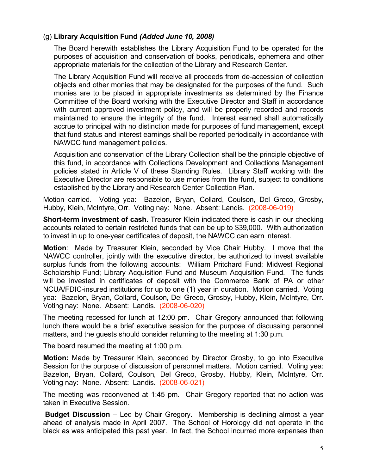# (g) **Library Acquisition Fund** *(Added June 10, 2008)*

The Board herewith establishes the Library Acquisition Fund to be operated for the purposes of acquisition and conservation of books, periodicals, ephemera and other appropriate materials for the collection of the Library and Research Center.

The Library Acquisition Fund will receive all proceeds from de-accession of collection objects and other monies that may be designated for the purposes of the fund. Such monies are to be placed in appropriate investments as determined by the Finance Committee of the Board working with the Executive Director and Staff in accordance with current approved investment policy, and will be properly recorded and records maintained to ensure the integrity of the fund. Interest earned shall automatically accrue to principal with no distinction made for purposes of fund management, except that fund status and interest earnings shall be reported periodically in accordance with NAWCC fund management policies.

Acquisition and conservation of the Library Collection shall be the principle objective of this fund, in accordance with Collections Development and Collections Management policies stated in Article V of these Standing Rules. Library Staff working with the Executive Director are responsible to use monies from the fund, subject to conditions established by the Library and Research Center Collection Plan.

Motion carried. Voting yea: Bazelon, Bryan, Collard, Coulson, Del Greco, Grosby, Hubby, Klein, McIntyre, Orr. Voting nay: None. Absent: Landis. (2008-06-019)

**Short-term investment of cash.** Treasurer Klein indicated there is cash in our checking accounts related to certain restricted funds that can be up to \$39,000. With authorization to invest in up to one-year certificates of deposit, the NAWCC can earn interest.

**Motion**: Made by Treasurer Klein, seconded by Vice Chair Hubby. I move that the NAWCC controller, jointly with the executive director, be authorized to invest available surplus funds from the following accounts: William Pritchard Fund; Midwest Regional Scholarship Fund; Library Acquisition Fund and Museum Acquisition Fund. The funds will be invested in certificates of deposit with the Commerce Bank of PA or other NCUA/FDIC-insured institutions for up to one (1) year in duration. Motion carried. Voting yea: Bazelon, Bryan, Collard, Coulson, Del Greco, Grosby, Hubby, Klein, McIntyre, Orr. Voting nay: None. Absent: Landis. (2008-06-020)

The meeting recessed for lunch at 12:00 pm. Chair Gregory announced that following lunch there would be a brief executive session for the purpose of discussing personnel matters, and the guests should consider returning to the meeting at 1:30 p.m.

The board resumed the meeting at 1:00 p.m.

**Motion:** Made by Treasurer Klein, seconded by Director Grosby, to go into Executive Session for the purpose of discussion of personnel matters. Motion carried. Voting yea: Bazelon, Bryan, Collard, Coulson, Del Greco, Grosby, Hubby, Klein, McIntyre, Orr. Voting nay: None. Absent: Landis. (2008-06-021)

The meeting was reconvened at 1:45 pm. Chair Gregory reported that no action was taken in Executive Session.

**Budget Discussion** – Led by Chair Gregory. Membership is declining almost a year ahead of analysis made in April 2007. The School of Horology did not operate in the black as was anticipated this past year. In fact, the School incurred more expenses than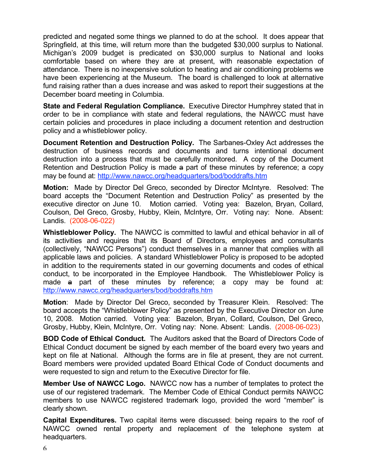predicted and negated some things we planned to do at the school. It does appear that Springfield, at this time, will return more than the budgeted \$30,000 surplus to National. Michigan's 2009 budget is predicated on \$30,000 surplus to National and looks comfortable based on where they are at present, with reasonable expectation of attendance. There is no inexpensive solution to heating and air conditioning problems we have been experiencing at the Museum. The board is challenged to look at alternative fund raising rather than a dues increase and was asked to report their suggestions at the December board meeting in Columbia.

**State and Federal Regulation Compliance.** Executive Director Humphrey stated that in order to be in compliance with state and federal regulations, the NAWCC must have certain policies and procedures in place including a document retention and destruction policy and a whistleblower policy.

**Document Retention and Destruction Policy.** The Sarbanes-Oxley Act addresses the destruction of business records and documents and turns intentional document destruction into a process that must be carefully monitored. A copy of the Document Retention and Destruction Policy is made a part of these minutes by reference; a copy may be found at: http://www.nawcc.org/headquarters/bod/boddrafts.htm

**Motion:** Made by Director Del Greco, seconded by Director McIntyre. Resolved: The board accepts the "Document Retention and Destruction Policy" as presented by the executive director on June 10. Motion carried. Voting yea: Bazelon, Bryan, Collard, Coulson, Del Greco, Grosby, Hubby, Klein, McIntyre, Orr. Voting nay: None. Absent: Landis. (2008-06-022)

**Whistleblower Policy.** The NAWCC is committed to lawful and ethical behavior in all of its activities and requires that its Board of Directors, employees and consultants (collectively, "NAWCC Persons") conduct themselves in a manner that complies with all applicable laws and policies. A standard Whistleblower Policy is proposed to be adopted in addition to the requirements stated in our governing documents and codes of ethical conduct, to be incorporated in the Employee Handbook. The Whistleblower Policy is made a part of these minutes by reference; a copy may be found at: http://www.nawcc.org/headquarters/bod/boddrafts.htm

**Motion**: Made by Director Del Greco, seconded by Treasurer Klein. Resolved: The board accepts the "Whistleblower Policy" as presented by the Executive Director on June 10, 2008. Motion carried. Voting yea: Bazelon, Bryan, Collard, Coulson, Del Greco, Grosby, Hubby, Klein, McIntyre, Orr. Voting nay: None. Absent: Landis. (2008-06-023)

**BOD Code of Ethical Conduct.** The Auditors asked that the Board of Directors Code of Ethical Conduct document be signed by each member of the board every two years and kept on file at National. Although the forms are in file at present, they are not current. Board members were provided updated Board Ethical Code of Conduct documents and were requested to sign and return to the Executive Director for file.

**Member Use of NAWCC Logo.** NAWCC now has a number of templates to protect the use of our registered trademark. The Member Code of Ethical Conduct permits NAWCC members to use NAWCC registered trademark logo, provided the word "member" is clearly shown.

**Capital Expenditures.** Two capital items were discussed; being repairs to the roof of NAWCC owned rental property and replacement of the telephone system at headquarters.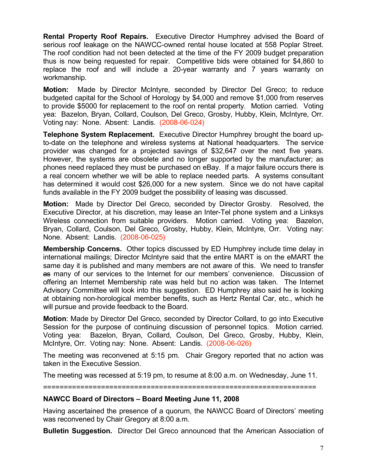**Rental Property Roof Repairs.** Executive Director Humphrey advised the Board of serious roof leakage on the NAWCC-owned rental house located at 558 Poplar Street. The roof condition had not been detected at the time of the FY 2009 budget preparation thus is now being requested for repair. Competitive bids were obtained for \$4,860 to replace the roof and will include a 20-year warranty and 7 years warranty on workmanship.

**Motion:** Made by Director McIntyre, seconded by Director Del Greco; to reduce budgeted capital for the School of Horology by \$4,000 and remove \$1,000 from reserves to provide \$5000 for replacement to the roof on rental property. Motion carried. Voting yea: Bazelon, Bryan, Collard, Coulson, Del Greco, Grosby, Hubby, Klein, McIntyre, Orr. Voting nay: None. Absent: Landis. (2008-06-024)

**Telephone System Replacement.** Executive Director Humphrey brought the board upto-date on the telephone and wireless systems at National headquarters. The service provider was changed for a projected savings of \$32,647 over the next five years. However, the systems are obsolete and no longer supported by the manufacturer; as phones need replaced they must be purchased on eBay. If a major failure occurs there is a real concern whether we will be able to replace needed parts. A systems consultant has determined it would cost \$26,000 for a new system. Since we do not have capital funds available in the FY 2009 budget the possibility of leasing was discussed.

**Motion:** Made by Director Del Greco, seconded by Director Grosby. Resolved, the Executive Director, at his discretion, may lease an Inter-Tel phone system and a Linksys Wireless connection from suitable providers. Motion carried. Voting yea: Bazelon, Bryan, Collard, Coulson, Del Greco, Grosby, Hubby, Klein, McIntyre, Orr. Voting nay: None. Absent: Landis. (2008-06-025)

**Membership Concerns.** Other topics discussed by ED Humphrey include time delay in international mailings; Director McIntyre said that the entire MART is on the eMART the same day it is published and many members are not aware of this. We need to transfer as many of our services to the Internet for our members' convenience. Discussion of offering an Internet Membership rate was held but no action was taken. The Internet Advisory Committee will look into this suggestion. ED Humphrey also said he is looking at obtaining non-horological member benefits, such as Hertz Rental Car, etc., which he will pursue and provide feedback to the Board.

**Motion**: Made by Director Del Greco, seconded by Director Collard, to go into Executive Session for the purpose of continuing discussion of personnel topics. Motion carried. Voting yea: Bazelon, Bryan, Collard, Coulson, Del Greco, Grosby, Hubby, Klein, McIntyre, Orr. Voting nay: None. Absent: Landis. (2008-06-026)

The meeting was reconvened at 5:15 pm. Chair Gregory reported that no action was taken in the Executive Session.

The meeting was recessed at 5:19 pm, to resume at 8:00 a.m. on Wednesday, June 11.

==================================================================

### **NAWCC Board of Directors – Board Meeting June 11, 2008**

Having ascertained the presence of a quorum, the NAWCC Board of Directors' meeting was reconvened by Chair Gregory at 8:00 a.m.

**Bulletin Suggestion.** Director Del Greco announced that the American Association of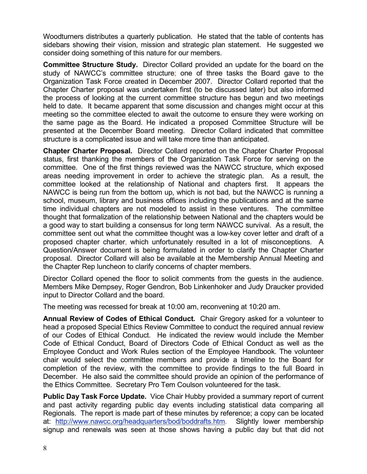Woodturners distributes a quarterly publication. He stated that the table of contents has sidebars showing their vision, mission and strategic plan statement. He suggested we consider doing something of this nature for our members.

**Committee Structure Study.** Director Collard provided an update for the board on the study of NAWCC's committee structure; one of three tasks the Board gave to the Organization Task Force created in December 2007. Director Collard reported that the Chapter Charter proposal was undertaken first (to be discussed later) but also informed the process of looking at the current committee structure has begun and two meetings held to date. It became apparent that some discussion and changes might occur at this meeting so the committee elected to await the outcome to ensure they were working on the same page as the Board. He indicated a proposed Committee Structure will be presented at the December Board meeting. Director Collard indicated that committee structure is a complicated issue and will take more time than anticipated.

**Chapter Charter Proposal.** Director Collard reported on the Chapter Charter Proposal status, first thanking the members of the Organization Task Force for serving on the committee. One of the first things reviewed was the NAWCC structure, which exposed areas needing improvement in order to achieve the strategic plan. As a result, the committee looked at the relationship of National and chapters first. It appears the NAWCC is being run from the bottom up, which is not bad, but the NAWCC is running a school, museum, library and business offices including the publications and at the same time individual chapters are not modeled to assist in these ventures. The committee thought that formalization of the relationship between National and the chapters would be a good way to start building a consensus for long term NAWCC survival. As a result, the committee sent out what the committee thought was a low-key cover letter and draft of a proposed chapter charter, which unfortunately resulted in a lot of misconceptions. A Question/Answer document is being formulated in order to clarify the Chapter Charter proposal. Director Collard will also be available at the Membership Annual Meeting and the Chapter Rep luncheon to clarify concerns of chapter members.

Director Collard opened the floor to solicit comments from the guests in the audience. Members Mike Dempsey, Roger Gendron, Bob Linkenhoker and Judy Draucker provided input to Director Collard and the board.

The meeting was recessed for break at 10:00 am, reconvening at 10:20 am.

**Annual Review of Codes of Ethical Conduct.** Chair Gregory asked for a volunteer to head a proposed Special Ethics Review Committee to conduct the required annual review of our Codes of Ethical Conduct. He indicated the review would include the Member Code of Ethical Conduct, Board of Directors Code of Ethical Conduct as well as the Employee Conduct and Work Rules section of the Employee Handbook. The volunteer chair would select the committee members and provide a timeline to the Board for completion of the review, with the committee to provide findings to the full Board in December. He also said the committee should provide an opinion of the performance of the Ethics Committee. Secretary Pro Tem Coulson volunteered for the task.

**Public Day Task Force Update.** Vice Chair Hubby provided a summary report of current and past activity regarding public day events including statistical data comparing all Regionals. The report is made part of these minutes by reference; a copy can be located at: http://www.nawcc.org/headquarters/bod/boddrafts.htm. Slightly lower membership signup and renewals was seen at those shows having a public day but that did not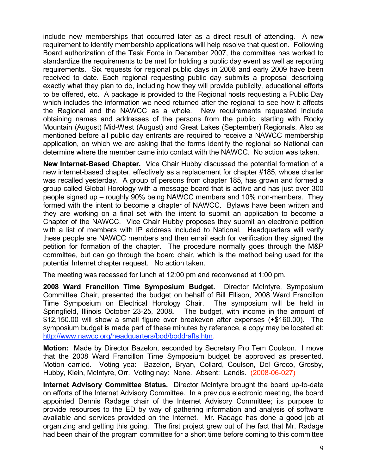include new memberships that occurred later as a direct result of attending. A new requirement to identify membership applications will help resolve that question. Following Board authorization of the Task Force in December 2007, the committee has worked to standardize the requirements to be met for holding a public day event as well as reporting requirements. Six requests for regional public days in 2008 and early 2009 have been received to date. Each regional requesting public day submits a proposal describing exactly what they plan to do, including how they will provide publicity, educational efforts to be offered, etc. A package is provided to the Regional hosts requesting a Public Day which includes the information we need returned after the regional to see how it affects the Regional and the NAWCC as a whole. New requirements requested include obtaining names and addresses of the persons from the public, starting with Rocky Mountain (August) Mid-West (August) and Great Lakes (September) Regionals. Also as mentioned before all public day entrants are required to receive a NAWCC membership application, on which we are asking that the forms identify the regional so National can determine where the member came into contact with the NAWCC. No action was taken.

**New Internet-Based Chapter.** Vice Chair Hubby discussed the potential formation of a new internet-based chapter, effectively as a replacement for chapter #185, whose charter was recalled yesterday. A group of persons from chapter 185, has grown and formed a group called Global Horology with a message board that is active and has just over 300 people signed up – roughly 90% being NAWCC members and 10% non-members. They formed with the intent to become a chapter of NAWCC. Bylaws have been written and they are working on a final set with the intent to submit an application to become a Chapter of the NAWCC. Vice Chair Hubby proposes they submit an electronic petition with a list of members with IP address included to National. Headquarters will verify these people are NAWCC members and then email each for verification they signed the petition for formation of the chapter. The procedure normally goes through the M&P committee, but can go through the board chair, which is the method being used for the potential Internet chapter request. No action taken.

The meeting was recessed for lunch at 12:00 pm and reconvened at 1:00 pm.

**2008 Ward Francillon Time Symposium Budget.** Director McIntyre, Symposium Committee Chair, presented the budget on behalf of Bill Ellison, 2008 Ward Francillon Time Symposium on Electrical Horology Chair. The symposium will be held in Springfield, Illinois October 23-25, 2008**.** The budget, with income in the amount of \$12,150.00 will show a small figure over breakeven after expenses (+\$160.00). The symposium budget is made part of these minutes by reference, a copy may be located at: http://www.nawcc.org/headquarters/bod/boddrafts.htm.

**Motion:** Made by Director Bazelon, seconded by Secretary Pro Tem Coulson. I move that the 2008 Ward Francillon Time Symposium budget be approved as presented. Motion carried. Voting yea: Bazelon, Bryan, Collard, Coulson, Del Greco, Grosby, Hubby, Klein, McIntyre, Orr. Voting nay: None. Absent: Landis. (2008-06-027)

**Internet Advisory Committee Status.** Director McIntyre brought the board up-to-date on efforts of the Internet Advisory Committee. In a previous electronic meeting, the board appointed Dennis Radage chair of the Internet Advisory Committee; its purpose to provide resources to the ED by way of gathering information and analysis of software available and services provided on the Internet. Mr. Radage has done a good job at organizing and getting this going. The first project grew out of the fact that Mr. Radage had been chair of the program committee for a short time before coming to this committee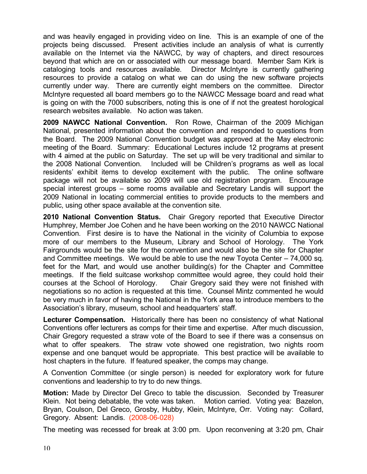and was heavily engaged in providing video on line. This is an example of one of the projects being discussed. Present activities include an analysis of what is currently available on the Internet via the NAWCC, by way of chapters, and direct resources beyond that which are on or associated with our message board. Member Sam Kirk is cataloging tools and resources available. Director McIntyre is currently gathering resources to provide a catalog on what we can do using the new software projects currently under way. There are currently eight members on the committee. Director McIntyre requested all board members go to the NAWCC Message board and read what is going on with the 7000 subscribers, noting this is one of if not the greatest horological research websites available. No action was taken.

**2009 NAWCC National Convention.** Ron Rowe, Chairman of the 2009 Michigan National, presented information about the convention and responded to questions from the Board. The 2009 National Convention budget was approved at the May electronic meeting of the Board. Summary: Educational Lectures include 12 programs at present with 4 aimed at the public on Saturday. The set up will be very traditional and similar to the 2008 National Convention. Included will be Children's programs as well as local residents' exhibit items to develop excitement with the public. The online software package will not be available so 2009 will use old registration program. Encourage special interest groups – some rooms available and Secretary Landis will support the 2009 National in locating commercial entities to provide products to the members and public, using other space available at the convention site.

**2010 National Convention Status.** Chair Gregory reported that Executive Director Humphrey, Member Joe Cohen and he have been working on the 2010 NAWCC National Convention. First desire is to have the National in the vicinity of Columbia to expose more of our members to the Museum, Library and School of Horology. The York Fairgrounds would be the site for the convention and would also be the site for Chapter and Committee meetings. We would be able to use the new Toyota Center – 74,000 sq. feet for the Mart, and would use another building(s) for the Chapter and Committee meetings. If the field suitcase workshop committee would agree, they could hold their courses at the School of Horology. Chair Gregory said they were not finished with negotiations so no action is requested at this time. Counsel Mintz commented he would be very much in favor of having the National in the York area to introduce members to the Association's library, museum, school and headquarters' staff.

**Lecturer Compensation.** Historically there has been no consistency of what National Conventions offer lecturers as comps for their time and expertise. After much discussion, Chair Gregory requested a straw vote of the Board to see if there was a consensus on what to offer speakers. The straw vote showed one registration, two nights room expense and one banquet would be appropriate. This best practice will be available to host chapters in the future. If featured speaker, the comps may change.

A Convention Committee (or single person) is needed for exploratory work for future conventions and leadership to try to do new things.

**Motion:** Made by Director Del Greco to table the discussion. Seconded by Treasurer Klein. Not being debatable, the vote was taken. Motion carried. Voting yea: Bazelon, Bryan, Coulson, Del Greco, Grosby, Hubby, Klein, McIntyre, Orr. Voting nay: Collard, Gregory. Absent: Landis. (2008-06-028)

The meeting was recessed for break at 3:00 pm. Upon reconvening at 3:20 pm, Chair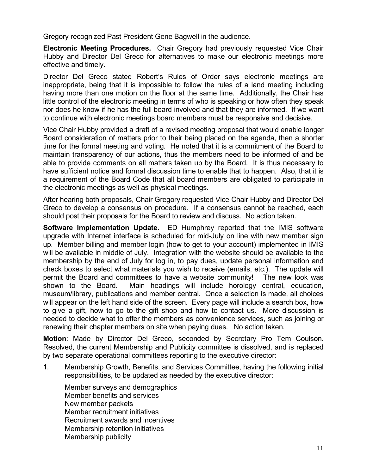Gregory recognized Past President Gene Bagwell in the audience.

**Electronic Meeting Procedures.** Chair Gregory had previously requested Vice Chair Hubby and Director Del Greco for alternatives to make our electronic meetings more effective and timely.

Director Del Greco stated Robert's Rules of Order says electronic meetings are inappropriate, being that it is impossible to follow the rules of a land meeting including having more than one motion on the floor at the same time. Additionally, the Chair has little control of the electronic meeting in terms of who is speaking or how often they speak nor does he know if he has the full board involved and that they are informed. If we want to continue with electronic meetings board members must be responsive and decisive.

Vice Chair Hubby provided a draft of a revised meeting proposal that would enable longer Board consideration of matters prior to their being placed on the agenda, then a shorter time for the formal meeting and voting. He noted that it is a commitment of the Board to maintain transparency of our actions, thus the members need to be informed of and be able to provide comments on all matters taken up by the Board. It is thus necessary to have sufficient notice and formal discussion time to enable that to happen. Also, that it is a requirement of the Board Code that all board members are obligated to participate in the electronic meetings as well as physical meetings.

After hearing both proposals, Chair Gregory requested Vice Chair Hubby and Director Del Greco to develop a consensus on procedure. If a consensus cannot be reached, each should post their proposals for the Board to review and discuss. No action taken.

**Software Implementation Update.** ED Humphrey reported that the IMIS software upgrade with Internet interface is scheduled for mid-July on line with new member sign up. Member billing and member login (how to get to your account) implemented in IMIS will be available in middle of July. Integration with the website should be available to the membership by the end of July for log in, to pay dues, update personal information and check boxes to select what materials you wish to receive (emails, etc.). The update will permit the Board and committees to have a website community! The new look was shown to the Board. Main headings will include horology central, education, museum/library, publications and member central. Once a selection is made, all choices will appear on the left hand side of the screen. Every page will include a search box, how to give a gift, how to go to the gift shop and how to contact us. More discussion is needed to decide what to offer the members as convenience services, such as joining or renewing their chapter members on site when paying dues. No action taken.

**Motion**: Made by Director Del Greco, seconded by Secretary Pro Tem Coulson. Resolved, the current Membership and Publicity committee is dissolved, and is replaced by two separate operational committees reporting to the executive director:

1. Membership Growth, Benefits, and Services Committee, having the following initial responsibilities, to be updated as needed by the executive director:

Member surveys and demographics Member benefits and services New member packets Member recruitment initiatives Recruitment awards and incentives Membership retention initiatives Membership publicity